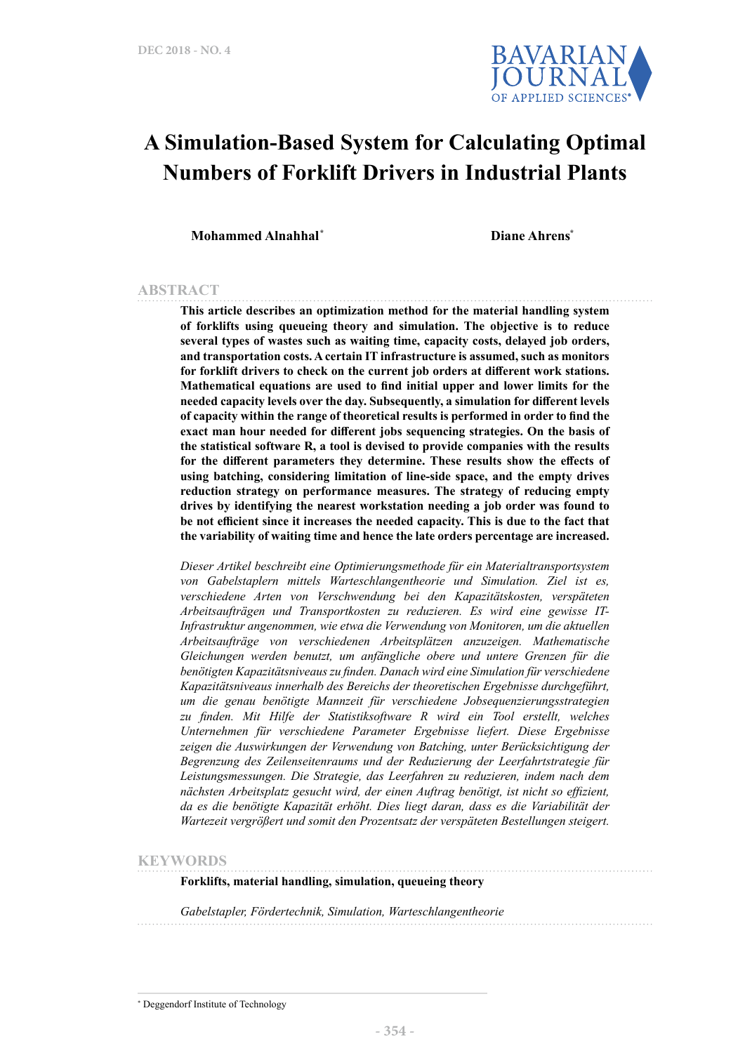

# **A Simulation-Based System for Calculating Optimal Numbers of Forklift Drivers in Industrial Plants**

**Mohammed Alnahhal\* Diane Ahrens\***

#### **ABSTRACT**

**This article describes an optimization method for the material handling system of forklifts using queueing theory and simulation. The objective is to reduce several types of wastes such as waiting time, capacity costs, delayed job orders, and transportation costs. A certain IT infrastructure is assumed, such as monitors for forklift drivers to check on the current job orders at different work stations. Mathematical equations are used to find initial upper and lower limits for the needed capacity levels over the day. Subsequently, a simulation for different levels of capacity within the range of theoretical results is performed in order to find the exact man hour needed for different jobs sequencing strategies. On the basis of the statistical software R, a tool is devised to provide companies with the results for the different parameters they determine. These results show the effects of using batching, considering limitation of line-side space, and the empty drives reduction strategy on performance measures. The strategy of reducing empty drives by identifying the nearest workstation needing a job order was found to be not efficient since it increases the needed capacity. This is due to the fact that the variability of waiting time and hence the late orders percentage are increased.**

*Dieser Artikel beschreibt eine Optimierungsmethode für ein Materialtransportsystem von Gabelstaplern mittels Warteschlangentheorie und Simulation. Ziel ist es, verschiedene Arten von Verschwendung bei den Kapazitätskosten, verspäteten Arbeitsaufträgen und Transportkosten zu reduzieren. Es wird eine gewisse IT-Infrastruktur angenommen, wie etwa die Verwendung von Monitoren, um die aktuellen Arbeitsaufträge von verschiedenen Arbeitsplätzen anzuzeigen. Mathematische Gleichungen werden benutzt, um anfängliche obere und untere Grenzen für die benötigten Kapazitätsniveaus zu finden. Danach wird eine Simulation für verschiedene Kapazitätsniveaus innerhalb des Bereichs der theoretischen Ergebnisse durchgeführt, um die genau benötigte Mannzeit für verschiedene Jobsequenzierungsstrategien zu finden. Mit Hilfe der Statistiksoftware R wird ein Tool erstellt, welches Unternehmen für verschiedene Parameter Ergebnisse liefert. Diese Ergebnisse zeigen die Auswirkungen der Verwendung von Batching, unter Berücksichtigung der Begrenzung des Zeilenseitenraums und der Reduzierung der Leerfahrtstrategie für Leistungsmessungen. Die Strategie, das Leerfahren zu reduzieren, indem nach dem nächsten Arbeitsplatz gesucht wird, der einen Auftrag benötigt, ist nicht so effizient, da es die benötigte Kapazität erhöht. Dies liegt daran, dass es die Variabilität der Wartezeit vergrößert und somit den Prozentsatz der verspäteten Bestellungen steigert.*

#### **KEYWORDS**

**Forklifts, material handling, simulation, queueing theory**

*Gabelstapler, Fördertechnik, Simulation, Warteschlangentheorie*

<sup>\*</sup> Deggendorf Institute of Technology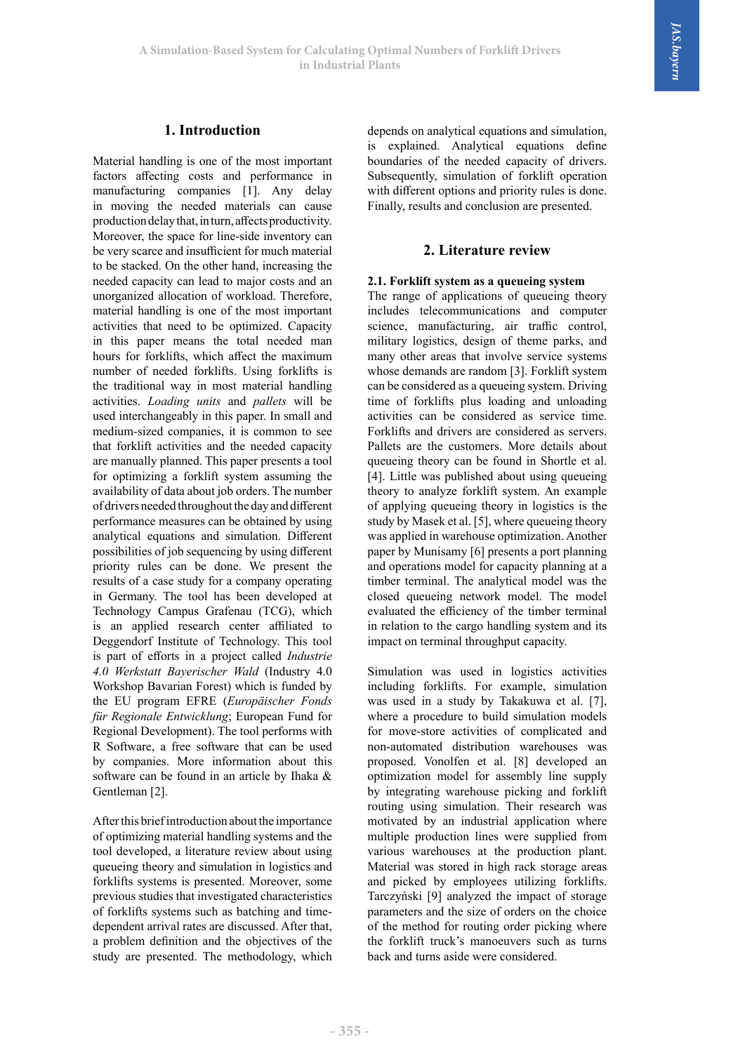### **1. Introduction**

Material handling is one of the most important factors affecting costs and performance in manufacturing companies [1]. Any delay in moving the needed materials can cause production delay that, in turn, affects productivity. Moreover, the space for line-side inventory can be very scarce and insufficient for much material to be stacked. On the other hand, increasing the needed capacity can lead to major costs and an unorganized allocation of workload. Therefore, material handling is one of the most important activities that need to be optimized. Capacity in this paper means the total needed man hours for forklifts, which affect the maximum number of needed forklifts. Using forklifts is the traditional way in most material handling activities. *Loading units* and *pallets* will be used interchangeably in this paper. In small and medium-sized companies, it is common to see that forklift activities and the needed capacity are manually planned. This paper presents a tool for optimizing a forklift system assuming the availability of data about job orders. The number of drivers needed throughout the day and different performance measures can be obtained by using analytical equations and simulation. Different possibilities of job sequencing by using different priority rules can be done. We present the results of a case study for a company operating in Germany. The tool has been developed at Technology Campus Grafenau (TCG), which is an applied research center affiliated to Deggendorf Institute of Technology. This tool is part of efforts in a project called *Industrie 4.0 Werkstatt Bayerischer Wald* (Industry 4.0 Workshop Bavarian Forest) which is funded by the EU program EFRE (*Europäischer Fonds für Regionale Entwicklung*; European Fund for Regional Development). The tool performs with R Software, a free software that can be used by companies. More information about this software can be found in an article by Ihaka & Gentleman [2].

After this brief introduction about the importance of optimizing material handling systems and the tool developed, a literature review about using queueing theory and simulation in logistics and forklifts systems is presented. Moreover, some previous studies that investigated characteristics of forklifts systems such as batching and timedependent arrival rates are discussed. After that, a problem definition and the objectives of the study are presented. The methodology, which

depends on analytical equations and simulation, is explained. Analytical equations define boundaries of the needed capacity of drivers. Subsequently, simulation of forklift operation with different options and priority rules is done. Finally, results and conclusion are presented.

#### **2. Literature review**

#### **2.1. Forklift system as a queueing system**

The range of applications of queueing theory includes telecommunications and computer science, manufacturing, air traffic control, military logistics, design of theme parks, and many other areas that involve service systems whose demands are random [3]. Forklift system can be considered as a queueing system. Driving time of forklifts plus loading and unloading activities can be considered as service time. Forklifts and drivers are considered as servers. Pallets are the customers. More details about queueing theory can be found in Shortle et al. [4]. Little was published about using queueing theory to analyze forklift system. An example of applying queueing theory in logistics is the study by Masek et al. [5], where queueing theory was applied in warehouse optimization. Another paper by Munisamy [6] presents a port planning and operations model for capacity planning at a timber terminal. The analytical model was the closed queueing network model. The model evaluated the efficiency of the timber terminal in relation to the cargo handling system and its impact on terminal throughput capacity.

Simulation was used in logistics activities including forklifts. For example, simulation was used in a study by Takakuwa et al. [7], where a procedure to build simulation models for move-store activities of complicated and non-automated distribution warehouses was proposed. Vonolfen et al. [8] developed an optimization model for assembly line supply by integrating warehouse picking and forklift routing using simulation. Their research was motivated by an industrial application where multiple production lines were supplied from various warehouses at the production plant. Material was stored in high rack storage areas and picked by employees utilizing forklifts. Tarczyński [9] analyzed the impact of storage parameters and the size of orders on the choice of the method for routing order picking where the forklift truck's manoeuvers such as turns back and turns aside were considered.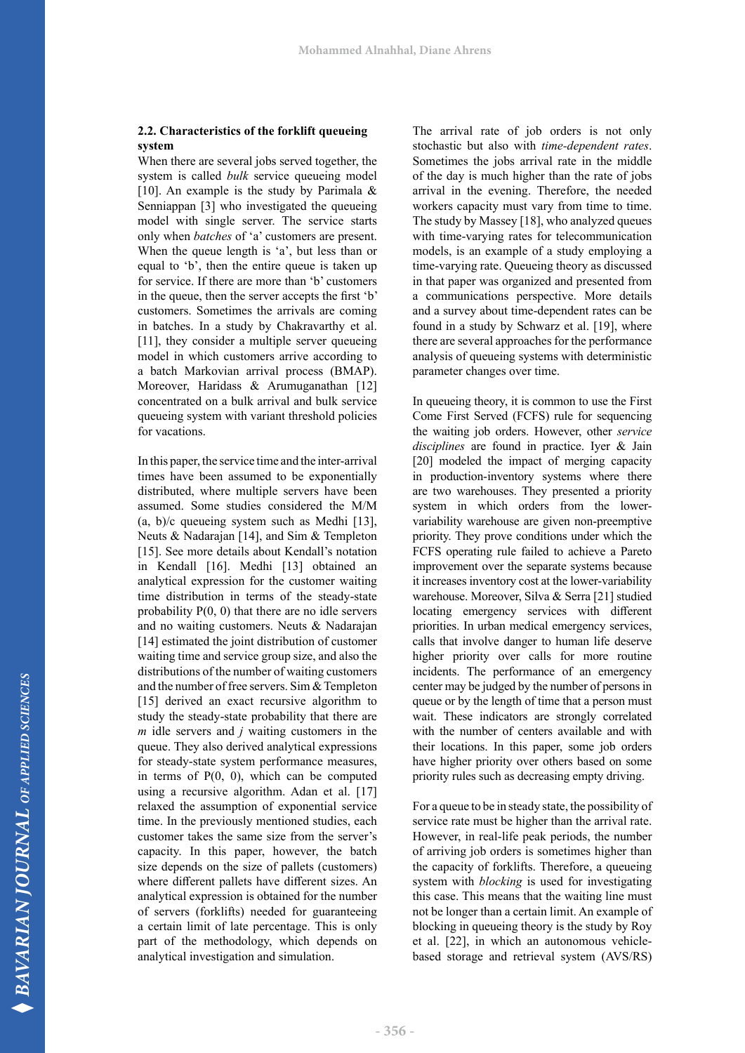#### **2.2. Characteristics of the forklift queueing system**

When there are several jobs served together, the system is called *bulk* service queueing model [10]. An example is the study by Parimala  $\&$ Senniappan [3] who investigated the queueing model with single server. The service starts only when *batches* of 'a' customers are present. When the queue length is 'a', but less than or equal to 'b', then the entire queue is taken up for service. If there are more than 'b' customers in the queue, then the server accepts the first 'b' customers. Sometimes the arrivals are coming in batches. In a study by Chakravarthy et al. [11], they consider a multiple server queueing model in which customers arrive according to a batch Markovian arrival process (BMAP). Moreover, Haridass & Arumuganathan [12] concentrated on a bulk arrival and bulk service queueing system with variant threshold policies for vacations.

In this paper, the service time and the inter-arrival times have been assumed to be exponentially distributed, where multiple servers have been assumed. Some studies considered the M/M (a, b)/c queueing system such as Medhi [13], Neuts & Nadarajan [14], and Sim & Templeton [15]. See more details about Kendall's notation in Kendall [16]. Medhi [13] obtained an analytical expression for the customer waiting time distribution in terms of the steady-state probability P(0, 0) that there are no idle servers and no waiting customers. Neuts & Nadarajan [14] estimated the joint distribution of customer waiting time and service group size, and also the distributions of the number of waiting customers and the number of free servers. Sim & Templeton [15] derived an exact recursive algorithm to study the steady-state probability that there are *m* idle servers and *j* waiting customers in the queue. They also derived analytical expressions for steady-state system performance measures, in terms of P(0, 0), which can be computed using a recursive algorithm. Adan et al. [17] relaxed the assumption of exponential service time. In the previously mentioned studies, each customer takes the same size from the server's capacity. In this paper, however, the batch size depends on the size of pallets (customers) where different pallets have different sizes. An analytical expression is obtained for the number of servers (forklifts) needed for guaranteeing a certain limit of late percentage. This is only part of the methodology, which depends on analytical investigation and simulation.

The arrival rate of job orders is not only stochastic but also with *time-dependent rates*. Sometimes the jobs arrival rate in the middle of the day is much higher than the rate of jobs arrival in the evening. Therefore, the needed workers capacity must vary from time to time. The study by Massey [18], who analyzed queues with time-varying rates for telecommunication models, is an example of a study employing a time-varying rate. Queueing theory as discussed in that paper was organized and presented from a communications perspective. More details and a survey about time-dependent rates can be found in a study by Schwarz et al. [19], where there are several approaches for the performance analysis of queueing systems with deterministic parameter changes over time.

In queueing theory, it is common to use the First Come First Served (FCFS) rule for sequencing the waiting job orders. However, other *service disciplines* are found in practice. Iyer & Jain [20] modeled the impact of merging capacity in production-inventory systems where there are two warehouses. They presented a priority system in which orders from the lowervariability warehouse are given non-preemptive priority. They prove conditions under which the FCFS operating rule failed to achieve a Pareto improvement over the separate systems because it increases inventory cost at the lower-variability warehouse. Moreover, Silva & Serra [21] studied locating emergency services with different priorities. In urban medical emergency services, calls that involve danger to human life deserve higher priority over calls for more routine incidents. The performance of an emergency center may be judged by the number of persons in queue or by the length of time that a person must wait. These indicators are strongly correlated with the number of centers available and with their locations. In this paper, some job orders have higher priority over others based on some priority rules such as decreasing empty driving.

For a queue to be in steady state, the possibility of service rate must be higher than the arrival rate. However, in real-life peak periods, the number of arriving job orders is sometimes higher than the capacity of forklifts. Therefore, a queueing system with *blocking* is used for investigating this case. This means that the waiting line must not be longer than a certain limit. An example of blocking in queueing theory is the study by Roy et al. [22], in which an autonomous vehiclebased storage and retrieval system (AVS/RS)

*BAVARIAN JOURNAL OF APPLIED SCIENCES* 

**BAVARIAN JOURNAL** OF APPLIED SCIENCES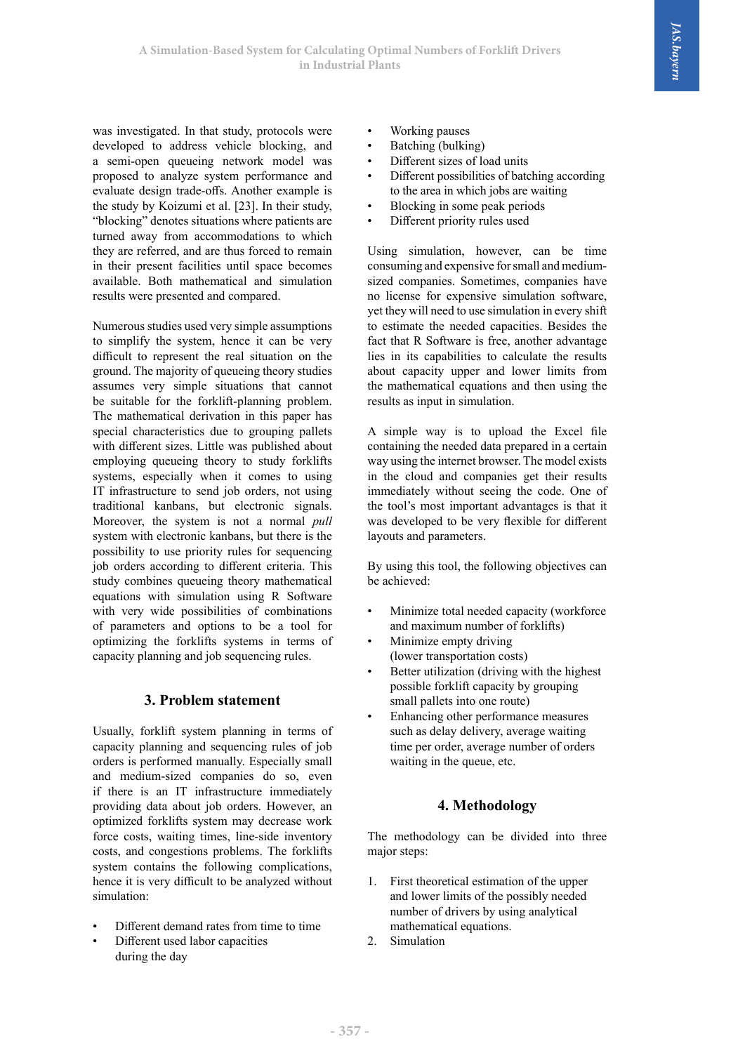was investigated. In that study, protocols were developed to address vehicle blocking, and a semi-open queueing network model was proposed to analyze system performance and evaluate design trade-offs. Another example is the study by Koizumi et al. [23]. In their study, "blocking" denotes situations where patients are turned away from accommodations to which they are referred, and are thus forced to remain in their present facilities until space becomes available. Both mathematical and simulation results were presented and compared.

Numerous studies used very simple assumptions to simplify the system, hence it can be very difficult to represent the real situation on the ground. The majority of queueing theory studies assumes very simple situations that cannot be suitable for the forklift-planning problem. The mathematical derivation in this paper has special characteristics due to grouping pallets with different sizes. Little was published about employing queueing theory to study forklifts systems, especially when it comes to using IT infrastructure to send job orders, not using traditional kanbans, but electronic signals. Moreover, the system is not a normal *pull* system with electronic kanbans, but there is the possibility to use priority rules for sequencing job orders according to different criteria. This study combines queueing theory mathematical equations with simulation using R Software with very wide possibilities of combinations of parameters and options to be a tool for optimizing the forklifts systems in terms of capacity planning and job sequencing rules.

# **3. Problem statement**

Usually, forklift system planning in terms of capacity planning and sequencing rules of job orders is performed manually. Especially small and medium-sized companies do so, even if there is an IT infrastructure immediately providing data about job orders. However, an optimized forklifts system may decrease work force costs, waiting times, line-side inventory costs, and congestions problems. The forklifts system contains the following complications, hence it is very difficult to be analyzed without simulation:

- Different demand rates from time to time
- Different used labor capacities during the day
- Working pauses
- Batching (bulking)
- Different sizes of load units
- Different possibilities of batching according to the area in which jobs are waiting
- Blocking in some peak periods
- Different priority rules used

Using simulation, however, can be time consuming and expensive for small and mediumsized companies. Sometimes, companies have no license for expensive simulation software, yet they will need to use simulation in every shift to estimate the needed capacities. Besides the fact that R Software is free, another advantage lies in its capabilities to calculate the results about capacity upper and lower limits from the mathematical equations and then using the results as input in simulation.

A simple way is to upload the Excel file containing the needed data prepared in a certain way using the internet browser. The model exists in the cloud and companies get their results immediately without seeing the code. One of the tool's most important advantages is that it was developed to be very flexible for different layouts and parameters.

By using this tool, the following objectives can be achieved:

- Minimize total needed capacity (workforce and maximum number of forklifts)
- Minimize empty driving (lower transportation costs)
- Better utilization (driving with the highest possible forklift capacity by grouping small pallets into one route)
- Enhancing other performance measures such as delay delivery, average waiting time per order, average number of orders waiting in the queue, etc.

### **4. Methodology**

The methodology can be divided into three major steps:

- 1. First theoretical estimation of the upper and lower limits of the possibly needed number of drivers by using analytical mathematical equations.
- 2. Simulation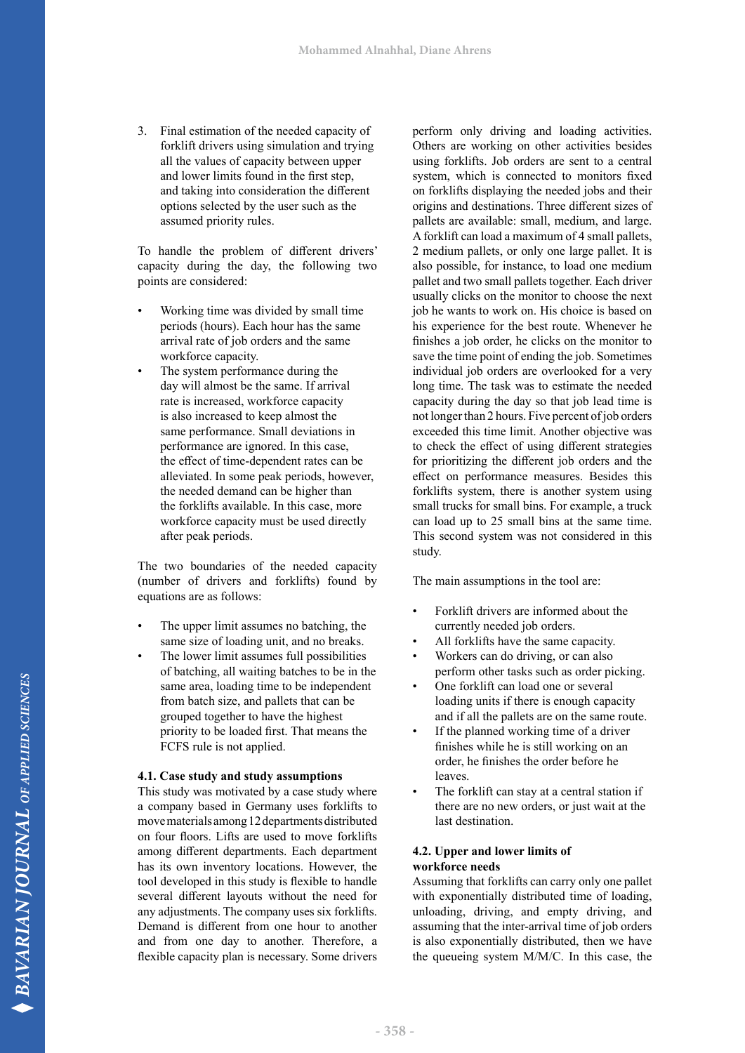3. Final estimation of the needed capacity of forklift drivers using simulation and trying all the values of capacity between upper and lower limits found in the first step, and taking into consideration the different options selected by the user such as the assumed priority rules.

To handle the problem of different drivers' capacity during the day, the following two points are considered:

- Working time was divided by small time periods (hours). Each hour has the same arrival rate of job orders and the same workforce capacity.
- The system performance during the day will almost be the same. If arrival rate is increased, workforce capacity is also increased to keep almost the same performance. Small deviations in performance are ignored. In this case, the effect of time-dependent rates can be alleviated. In some peak periods, however, the needed demand can be higher than the forklifts available. In this case, more workforce capacity must be used directly after peak periods.

The two boundaries of the needed capacity (number of drivers and forklifts) found by equations are as follows:

- The upper limit assumes no batching, the same size of loading unit, and no breaks.
- The lower limit assumes full possibilities of batching, all waiting batches to be in the same area, loading time to be independent from batch size, and pallets that can be grouped together to have the highest priority to be loaded first. That means the FCFS rule is not applied.

#### **4.1. Case study and study assumptions**

This study was motivated by a case study where a company based in Germany uses forklifts to move materials among 12 departments distributed on four floors. Lifts are used to move forklifts among different departments. Each department has its own inventory locations. However, the tool developed in this study is flexible to handle several different layouts without the need for any adjustments. The company uses six forklifts. Demand is different from one hour to another and from one day to another. Therefore, a flexible capacity plan is necessary. Some drivers

perform only driving and loading activities. Others are working on other activities besides using forklifts. Job orders are sent to a central system, which is connected to monitors fixed on forklifts displaying the needed jobs and their origins and destinations. Three different sizes of pallets are available: small, medium, and large. A forklift can load a maximum of 4 small pallets, 2 medium pallets, or only one large pallet. It is also possible, for instance, to load one medium pallet and two small pallets together. Each driver usually clicks on the monitor to choose the next job he wants to work on. His choice is based on his experience for the best route. Whenever he finishes a job order, he clicks on the monitor to save the time point of ending the job. Sometimes individual job orders are overlooked for a very long time. The task was to estimate the needed capacity during the day so that job lead time is not longer than 2 hours. Five percent of job orders exceeded this time limit. Another objective was to check the effect of using different strategies for prioritizing the different job orders and the effect on performance measures. Besides this forklifts system, there is another system using small trucks for small bins. For example, a truck can load up to 25 small bins at the same time. This second system was not considered in this study.

The main assumptions in the tool are:

- Forklift drivers are informed about the currently needed job orders.
- All forklifts have the same capacity.
- Workers can do driving, or can also perform other tasks such as order picking.
- One forklift can load one or several loading units if there is enough capacity and if all the pallets are on the same route.
- If the planned working time of a driver finishes while he is still working on an order, he finishes the order before he leaves.
- The forklift can stay at a central station if there are no new orders, or just wait at the last destination.

#### **4.2. Upper and lower limits of workforce needs**

Assuming that forklifts can carry only one pallet with exponentially distributed time of loading, unloading, driving, and empty driving, and assuming that the inter-arrival time of job orders is also exponentially distributed, then we have the queueing system M/M/C. In this case, the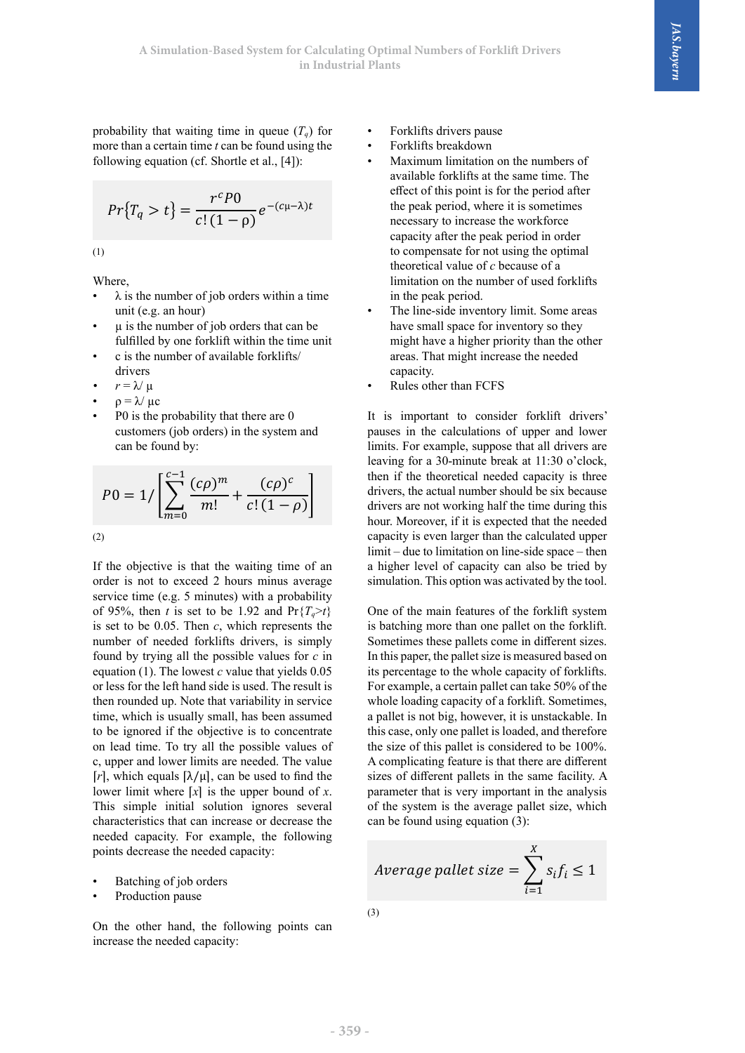probability that waiting time in queue  $(T_q)$  for  $\bullet$  Forklifts drivers pause more than a certain time  $t$  can be found using the  $\bullet$  Forklifts breakdown following equation (cf. Shortle et al., [4]): following equation (cf. Shortle et al., [4]):

$$
Pr{Tq > t} = \frac{rcP0}{c!(1 - \rho)} e^{-(c\mu - \lambda)t}
$$

(1)

Where, Where,

- $\lambda$  is the number of job orders within a time unit unit (e.g. and hours). unit (e.g. an hour)
- fulfilled by one forklift within the time unit
- **runned by one forknowledge in the unit.**<br>
 c is the number of available forklifts/driverse is the number of available forklifts/driverse in the unit. drivers
- $r = \lambda/\mu$
- $\partial \nu$  is the probability that the system are  $\partial \nu$  in the system and can be seen best in the system and can be seen best in the system and can be seen as  $\partial \nu$  $\rho = \lambda / \mu c$
- customers (job orders) in the system and can be found by: • P0 is the probability that there are 0

$$
P0 = 1 / \left[ \sum_{m=0}^{c-1} \frac{(c\rho)^m}{m!} + \frac{(c\rho)^c}{c! (1 - \rho)} \right]
$$

(2)

 $\frac{1}{2}$  hours find average simulation. This option was activated by the tool.<br>service time (e.g. 5 minutes) with a probability of 95%, then t is set to be 1.92 and  $Pr{T_q > t}$  One of the main features of the forklift system number of needed forklifts drivers, is simply Sometimes these pallets come in different sizes. equation (1). The lowest c value that yields  $0.05$  its percentage to the whole capacity of forklifts. or less for the felt hand side is used. The result is<br>then rounded up. Note that variability in service whole loading capacity of a forklift. Sometimes, time, which is usually small, has been assumed<br>the lower limit when the upper bound of *x*. This simple is not big, however, it is unstackable. In If the objective is that the waiting time of an order is not to exceed 2 hours minus average of 95%, then *t* is set to be 1.92 and  $Pr{T<sub>n</sub> > t}$ is set to be 0.05. Then *c*, which represents the number of needed forklifts drivers, is simply found by trying all the possible values for *c* in equation (1). The lowest *c* value that yields 0.05 or less for the left hand side is used. The result is then rounded up. Note that variability in service time, which is usually small, has been assumed to be ignored if the objective is to concentrate on lead time. To try all the possible values of c, upper and lower limits are needed. The value [ $r$ ], which equals  $[\lambda/\mu]$ , can be used to find the lower limit where  $[x]$  is the upper bound of *x*. This simple initial solution ignores several characteristics that can increase or decrease the needed capacity. For example, the following points decrease the needed capacity:

- Batching of job orders
- Production pause

On the other hand, the following points can increase the needed capacity:

- Forklifts drivers pause
- Forklifts breakdown

unloading, and assuming, and assuming that the inter-arrival time of  $\alpha$  inter-arrival time of  $j$ 

Assuming that for the forklifts can calculate  $\mathcal{A}$  and  $\mathcal{A}$  and  $\mathcal{A}$ 

- $e^{-(c\mu-\lambda)t}$  the peak period, where it is sometimes<br>necessary to increase the workforce  $\alpha$  is the number of  $c$  because of a<br>the unitation on the unplaneted form probability that waitable forklifts at the same time. The formula using the same time  $\frac{1}{2}$ expacity after the peak period in order • Maximum limitation on the numbers of effect of this point is for the period after necessary to increase the workforce to compensate for not using the optimal limitation on the number of used forklifts in the peak period.
- $\mu$  is the number of job orders that can be full space for inventory so they The line-side inventory limit. Some areas have small space for inventory so they might have a higher priority than the other areas. That might increase the needed capacity.
	- Rules other than FCFS

then if the theoretical needed capacity is three  $\begin{bmatrix} m=0 \ m=0 \end{bmatrix}$  is not to exceed 2 hours are not working name of an order is not to exceed 2 hours minus are not working name of an order is expected that the needed (2) capacity is even larger than the calculated upper If the objective is that the waiting time of an a higher level of capacity can also be tried by Po is the probability that there are 0 customers (job orders) in the system and can be pauses in the calculations of upper and lower drivers, the actual number should be six because<br>drivers are not working half the time during this It is important to consider forklift drivers' limits. For example, suppose that all drivers are leaving for a 30-minute break at 11:30 o'clock, drivers, the actual number should be six because  $limit - due to limitation on line-side space - then$ simulation. This option was activated by the tool.

> is batching more than one pallet on the forklift. In this paper, the pallet size is measured based on For example, a certain pallet can take 50% of the this case, only one pallet is loaded, and therefore the size of this pallet is considered to be 100%. A complicating feature is that there are different sizes of different pallets in the same facility. A parameter that is very important in the analysis of the system is the average pallet size, which can be found using equation (3):

$$
Average \thinspace{pallet \thinspace size} = \sum_{i=1}^{X} s_i f_i \le 1
$$

 $)$ (3)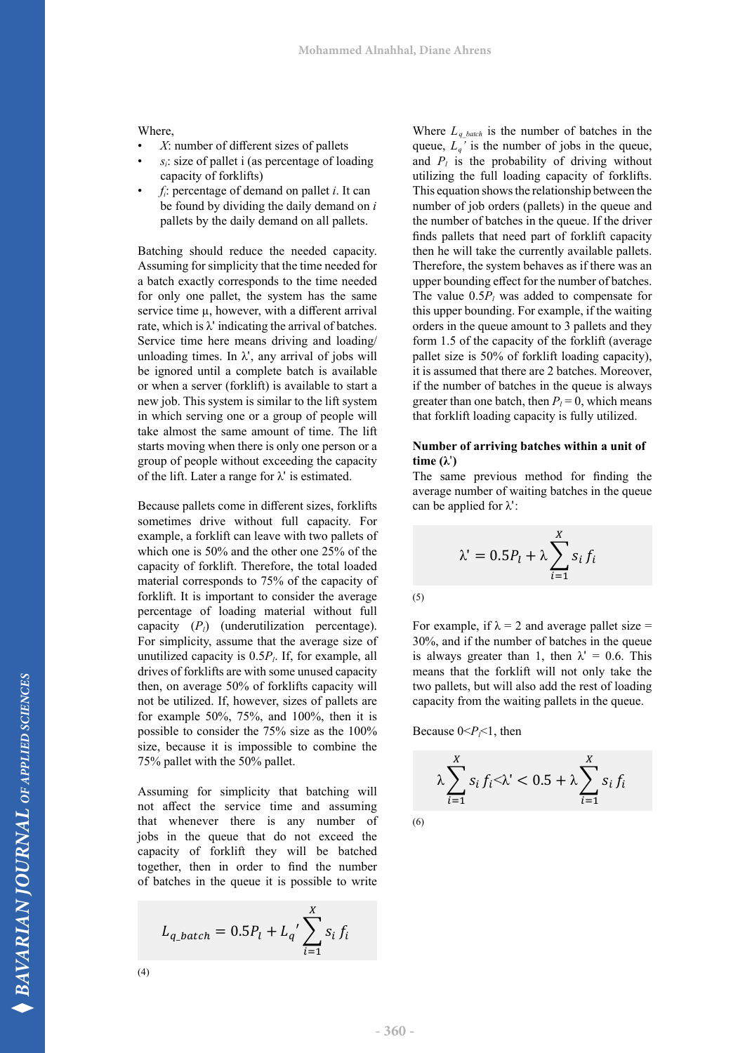Where,

- $X$ : number of different sizes of pallets
- $s_i$ : size of pallet i (as percentage of loading capacity of forklifts)
- $f_i$ : percentage of demand on pallet *i*. It can be found by dividing the daily demand on *i* oe found by dividing the daily demand on *l* pallets by the daily demand on all pallets.

Batching should reduce the needed capacity. Assuming for simplicity that the time needed for a batch exactly corresponds to the time needed for only one pallet, the system has the same service time  $\mu$ , however, with a different arrival rate, which is  $\lambda'$  indicating the arrival of batches. Service time here means driving and loading/ unloading times. In  $\lambda$ ', any arrival of jobs will be ignored until a complete batch is available or when a server (forklift) is available to start a new job. This system is similar to the lift system in which serving one or a group of people will take almost the same amount of time. The lift starts moving when there is only one person or a group of people without exceeding the capacity of the lift. Later a range for  $\lambda'$  is estimated. which serving one or a group of people will that forklift loading capacity is fully utilized. Its moving when there is only one person or a **Number of arriving batches within a unit of** 

sometimes drive without full capacity. For example, a forklift can leave with two pallets of which one is 50% and the other one 25% of the  $\lambda' = 0.5P_t + \lambda \sum_{i=1}^{n} s_i f_i$ capacity of forklift. Therefore, the total loaded  $\frac{1}{2}$  material corresponds to 75% of the capacity of  $\frac{1}{2}$ forklift. It is important to consider the average for the capacity of the capaciter of the total corresponds to  $(3)$ <br>percentage of loading material without full capacity (*Pl*) (underutilization percentage). For simplicity, assume that the average size of unutilized capacity is  $0.5P<sub>l</sub>$ . If, for example, all drives of forklifts are with some unused capacity then, on average 50% of forklifts capacity will not be utilized. If, however, sizes of pallets are for example 50%, 75%, and 100%, then it is possible to consider the 75% size as the 100% Because  $0 < P_f < 1$ , then size, because it is impossible to combine the 75% pallet with the 50% pallet. entage or loading material without rule<br>acity  $(P_i)$  (underutilization percentage). For example, if  $\lambda = 2$  and average pallet size = be utilized. If, however, sizes of pallets are  $\frac{1.000}{1.000}$  capacity from the waiting pallets in the queue.

Assuming for simplicity that batching will not affect the service time and assuming  $t-1$   $t-1$ that whenever there is any number of jobs in the queue that do not exceed the capacity of forklift they will be batched  $\frac{1}{2}$  together, then in order to find the number of batches in the queue it is possible to write

$$
L_{q\_batch} = 0.5P_l + L_q' \sum_{i=1}^{X} s_i f_i
$$

(4)

queue,  $L_q$ ' is the number of jobs in the queue, panels by the darly definand on an panels.<br>
finds pallets that need part of forklift capacity uming for simplicity that the time needed for Therefore, the system behaves as if there was an which is  $\lambda'$  indicating the arrival of batches.<br>which is  $\lambda'$  indicating the arrival of batches.<br> $\lambda' = \lambda'$ vice time here means driving and loading form 1.5 of the capacity of the forklift (average gnored until a complete batch is available it is assumed that there are 2 batches. Moreover, The number of backers in the queue is always<br>job. This system is similar to the lift system greater than one batch, then  $P_l = 0$ , which means Where  $L_q$ <sub>batch</sub> is the number of batches in the and  $P_l$  is the probability of driving without utilizing the full loading capacity of forklifts. This equation shows the relationship between the number of job orders (pallets) in the queue and the number of batches in the queue. If the driver then he will take the currently available pallets. upper bounding effect for the number of batches. The value  $0.5P_l$  was added to compensate for  $\theta$ this upper bounding. For example, if the waiting pallet size is 50% of forklift loading capacity), if the number of batches in the queue is always

# **time (λ**ʹ**)**

Because pallets come in different sizes, forklifts  $\qquad$  can be applied for  $\lambda$ ': will take almost the same amount of time. The lift starts moving when there is only one person The same previous method for finding the For same previous method for saming and same previous method for  $\frac{1}{2}$  average number of waiting batches in the queue can be applied for λʹ: be applied for λ*'*:

$$
\lambda' = 0.5P_l + \lambda \sum_{i=1}^{X} s_i f_i
$$

(5)

simplicity, assume that the average size of 30%, and if the humber of batches in the queue<br>tilized capacity is 0.5P<sub>i</sub>. If, for example, all is always greater than 1, then  $\lambda' = 0.6$ . This to be contained to write the capacity will two pallets, but will also add the rest of loading<br>i, on average 50% of forklifts capacity will two pallets, but will also add the rest of loading means that the forklift will not only take the<br>two pallets but will also add the rest of loading  $30\%$ , and if the number of batches in the queue party from the waiting pallets in the queue.

Because  $0 < P_f < 1$ , then  $\sum_{i=1}^{n}$ 

$$
\lambda \sum_{i=1}^{X} s_i f_i < \lambda < 0.5 + \lambda \sum_{i=1}^{X} s_i f_i
$$

(6)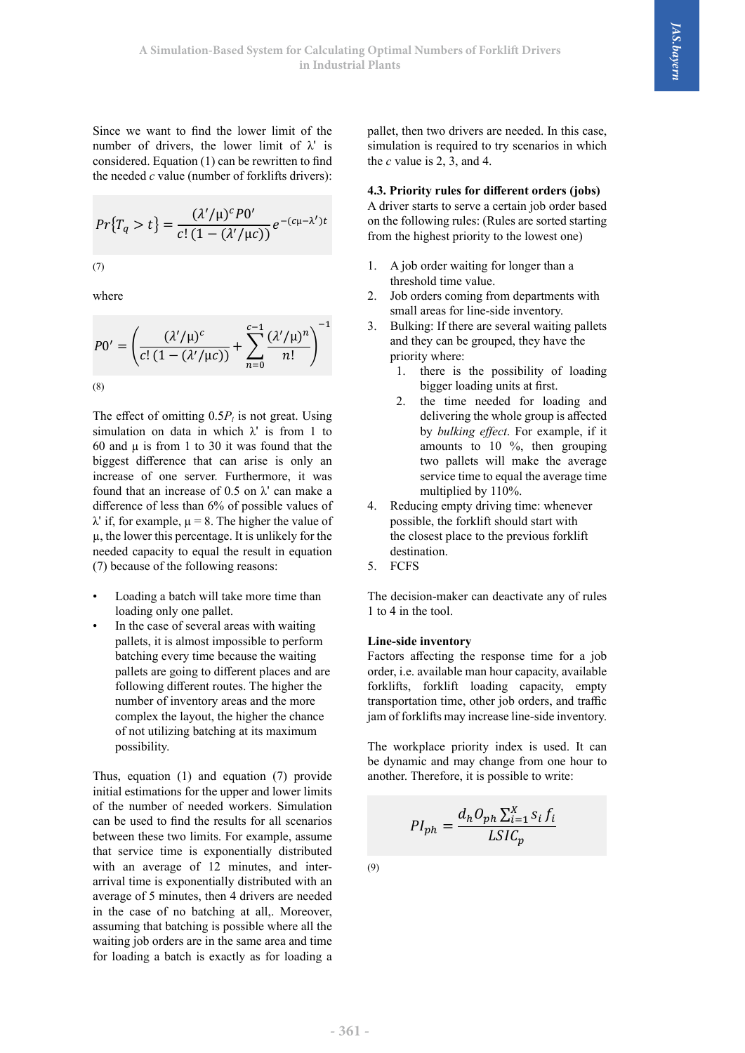Since we want to find the lower limit of the number of drivers, the lower limit of  $\lambda'$  is simulation is required to try scenarios in which mannoer of drivers, the lower limit of  $\kappa$  is<br>considered. Equation (1) can be rewritten to find considered. Equation (1) can be rewritten to find the *c* value is 2, 3, and 4.<br>the needed *c* value (number of forklifts drivers):  $\mathcal{C}$  we want to mid the

$$
Pr{Tq > t} = \frac{(\lambda'/\mu)^c P 0'}{c! (1 - (\lambda'/\mu c))} e^{-(c\mu - \lambda')t}
$$
  
\nA driver starts to serve a certain job order based on the following rules: (Rules are sorted starting from the highest priority to the lowest one)  
\n1. A job order waiting for longer than a threshold time value

 $v$  here where where

$$
P0' = \left(\frac{(\lambda'/\mu)^c}{c!(1 - (\lambda'/\mu c))} + \sum_{n=0}^{c-1} \frac{(\lambda'/\mu)^n}{n!}\right)^{-1}
$$
 3. Bulking: If there are several waiting pellets and they can be grouped, they have the priority where:  
1. there is the possibility of loading bigger loading units at first.

simulation on data in which  $\lambda'$  is from 1 to by *bulking effect*. For example, if it biggest difference that can arise is only an two pallets will make the average 60 and  $\mu$  is from 1 to 30 it was found that the increase of one server. Furthermore, it was found that an increase of  $0.5$  on  $\lambda'$  can make a difference of less than 6% of possible values of  $\lambda'$  if, for example,  $\mu = 8$ . The higher the value of µ, the lower this percentage. It is unlikely for the needed capacity to equal the result in equation (7) because of the following reasons:

- Loading a batch will take more time than loading only one pallet.
- In the case of several areas with waiting pallets, it is almost impossible to perform batching every time because the waiting pallets are going to different places and are following different routes. The higher the number of inventory areas and the more complex the layout, the higher the chance of not utilizing batching at its maximum possibility.

Thus, equation (1) and equation (7) provide initial estimations for the upper and lower limits of the number of needed workers. Simulation can be used to find the results for all scenarios between these two limits. For example, assume that service time is exponentially distributed with an average of 12 minutes, and interarrival time is exponentially distributed with an average of 5 minutes, then 4 drivers are needed in the case of no batching at all,. Moreover, assuming that batching is possible where all the waiting job orders are in the same area and time for loading a batch is exactly as for loading a

 $t = 0.6$  for the c value is 2, 3, and 4. pallet, then two drivers are needed. In this case, simulation is required to try scenarios in which

**4.3. Priority rules for different orders (jobs)** A driver starts to serve a certain job order based from the highest priority to the lowest one)

- 1. A job order waiting for longer than a threshold time young threshold time value.
	- 2. Job orders coming from departments with small areas for line-side inventory.
- $p_0' = \left( \frac{(\lambda'/\mu)^2}{\mu} \right)$  and they can be grouped, they have the  $\ddot{\phantom{0}}$ 3. Bulking: If there are several waiting pallets priority where:
- (8) bigger loading units at first.
- The effect of omitting  $0.5P_i$  is not great. Using delivering the whole group is affected 2. the time needed for loading and delivering the whole group is affected by *bulking effect*. For example, if it amounts to 10 %, then grouping two pallets will make the average service time to equal the average time multiplied by 110%.
	- 4. Reducing empty driving time: whenever possible, the forklift should start with the closest place to the previous forklift destination.
	- 5. FCFS

The decision-maker can deactivate any of rules 1 to 4 in the tool.

#### **Line-side inventory**

Factors affecting the response time for a job order, i.e. available man hour capacity, available forklifts, forklift loading capacity, empty transportation time, other job orders, and traffic jam of forklifts may increase line-side inventory. of forklifts may increase line-side inventory.

The workplace priority index is used. It can be dynamic and may change from one hour to another. Therefore, it is possible to write: and therefore, it is possible to write:  $\frac{1}{2}$ 

$$
PI_{ph} = \frac{d_h O_{ph} \sum_{i=1}^{X} s_i f_i}{LSIC_p}
$$

(9)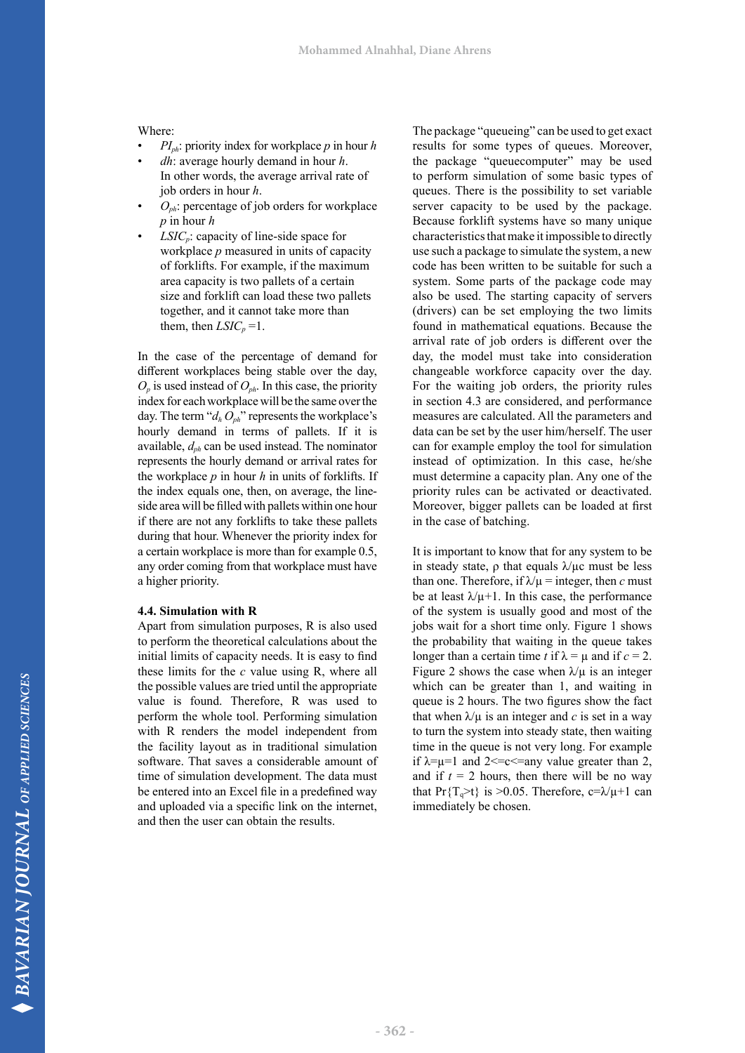#### Where:

- $PI<sub>ph</sub>$ : priority index for workplace *p* in hour *h*
- *dh*: average hourly demand in hour *h*. In other words, the average arrival rate of job orders in hour *h*.
- $O_{ph}$ : percentage of job orders for workplace *p* in hour *h*
- *LSIC<sub>p</sub>*: capacity of line-side space for workplace *p* measured in units of capacity of forklifts. For example, if the maximum area capacity is two pallets of a certain size and forklift can load these two pallets together, and it cannot take more than them, then  $LSIC_p = 1$ .

In the case of the percentage of demand for different workplaces being stable over the day,  $O_p$  is used instead of  $O_{ph}$ . In this case, the priority index for each workplace will be the same over the day. The term " $d_h O_{ph}$ " represents the workplace's hourly demand in terms of pallets. If it is available,  $d_{ph}$  can be used instead. The nominator represents the hourly demand or arrival rates for the workplace *p* in hour *h* in units of forklifts. If the index equals one, then, on average, the lineside area will be filled with pallets within one hour if there are not any forklifts to take these pallets during that hour. Whenever the priority index for a certain workplace is more than for example 0.5, any order coming from that workplace must have a higher priority.

#### **4.4. Simulation with R**

Apart from simulation purposes, R is also used to perform the theoretical calculations about the initial limits of capacity needs. It is easy to find these limits for the *c* value using R, where all the possible values are tried until the appropriate value is found. Therefore, R was used to perform the whole tool. Performing simulation with R renders the model independent from the facility layout as in traditional simulation software. That saves a considerable amount of time of simulation development. The data must be entered into an Excel file in a predefined way and uploaded via a specific link on the internet, and then the user can obtain the results.

The package "queueing" can be used to get exact results for some types of queues. Moreover, the package "queuecomputer" may be used to perform simulation of some basic types of queues. There is the possibility to set variable server capacity to be used by the package. Because forklift systems have so many unique characteristics that make it impossible to directly use such a package to simulate the system, a new code has been written to be suitable for such a system. Some parts of the package code may also be used. The starting capacity of servers (drivers) can be set employing the two limits found in mathematical equations. Because the arrival rate of job orders is different over the day, the model must take into consideration changeable workforce capacity over the day. For the waiting job orders, the priority rules in section 4.3 are considered, and performance measures are calculated. All the parameters and data can be set by the user him/herself. The user can for example employ the tool for simulation instead of optimization. In this case, he/she must determine a capacity plan. Any one of the priority rules can be activated or deactivated. Moreover, bigger pallets can be loaded at first in the case of batching.

It is important to know that for any system to be in steady state,  $\rho$  that equals  $\lambda/\mu c$  must be less than one. Therefore, if  $\lambda/\mu$  = integer, then *c* must be at least  $\lambda/\mu+1$ . In this case, the performance of the system is usually good and most of the jobs wait for a short time only. Figure 1 shows the probability that waiting in the queue takes longer than a certain time *t* if  $\lambda = \mu$  and if  $c = 2$ . Figure 2 shows the case when  $\lambda/\mu$  is an integer which can be greater than 1, and waiting in queue is 2 hours. The two figures show the fact that when  $\lambda/\mu$  is an integer and c is set in a way to turn the system into steady state, then waiting time in the queue is not very long. For example if  $\lambda = u = 1$  and  $2 \leq v \leq u$  value greater than 2. and if  $t = 2$  hours, then there will be no way that Pr $\{T_{\alpha} > t\}$  is  $> 0.05$ . Therefore, c= $\lambda/\mu + 1$  can immediately be chosen.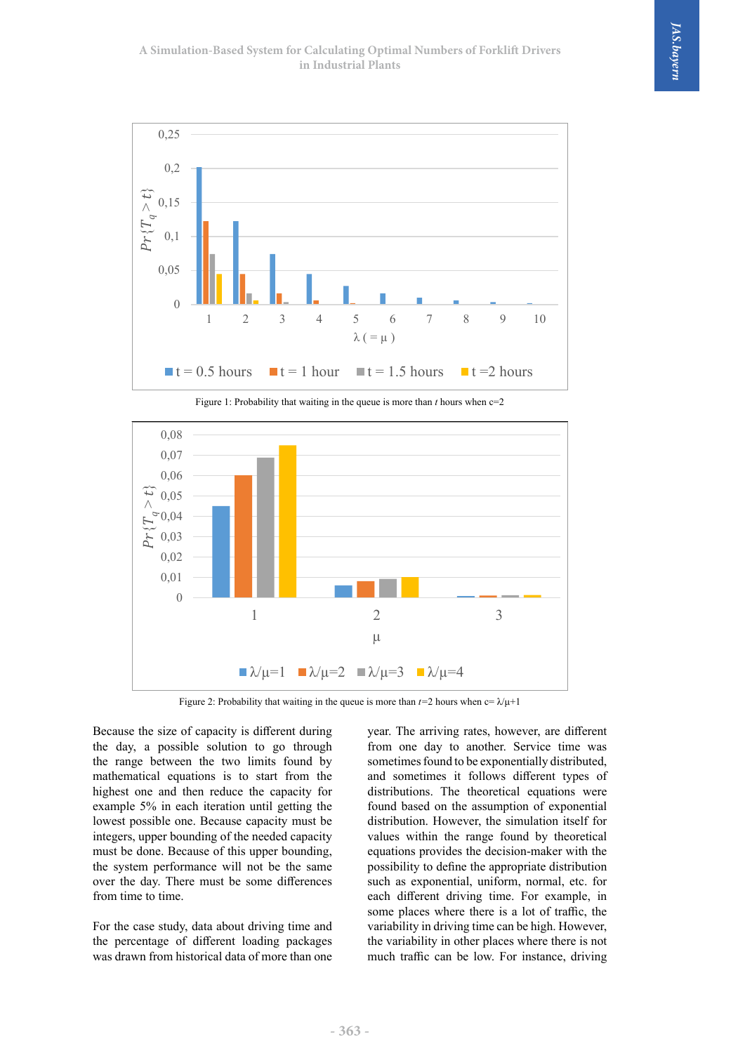



Figure 2: Probability that waiting in the queue *than 2* hours when change  $\lambda$ <sub>p</sub> 1 Figure 2: Probability that waiting in the queue is more than  $t=2$  hours when  $c=\lambda/\mu+1$ 

Because the size of capacity is different during the day, a possible solution to go through the range between the two limits found by mathematical equations is to start from the highest one and then reduce the capacity for example 5% in each iteration until getting the lowest possible one. Because capacity must be integers, upper bounding of the needed capacity must be done. Because of this upper bounding, the system performance will not be the same over the day. There must be some differences from time to time.

For the case study, data about driving time and the percentage of different loading packages was drawn from historical data of more than one year. The arriving rates, however, are different from one day to another. Service time was sometimes found to be exponentially distributed, and sometimes it follows different types of distributions. The theoretical equations were found based on the assumption of exponential distribution. However, the simulation itself for values within the range found by theoretical equations provides the decision-maker with the possibility to define the appropriate distribution such as exponential, uniform, normal, etc. for each different driving time. For example, in some places where there is a lot of traffic, the variability in driving time can be high. However, the variability in other places where there is not much traffic can be low. For instance, driving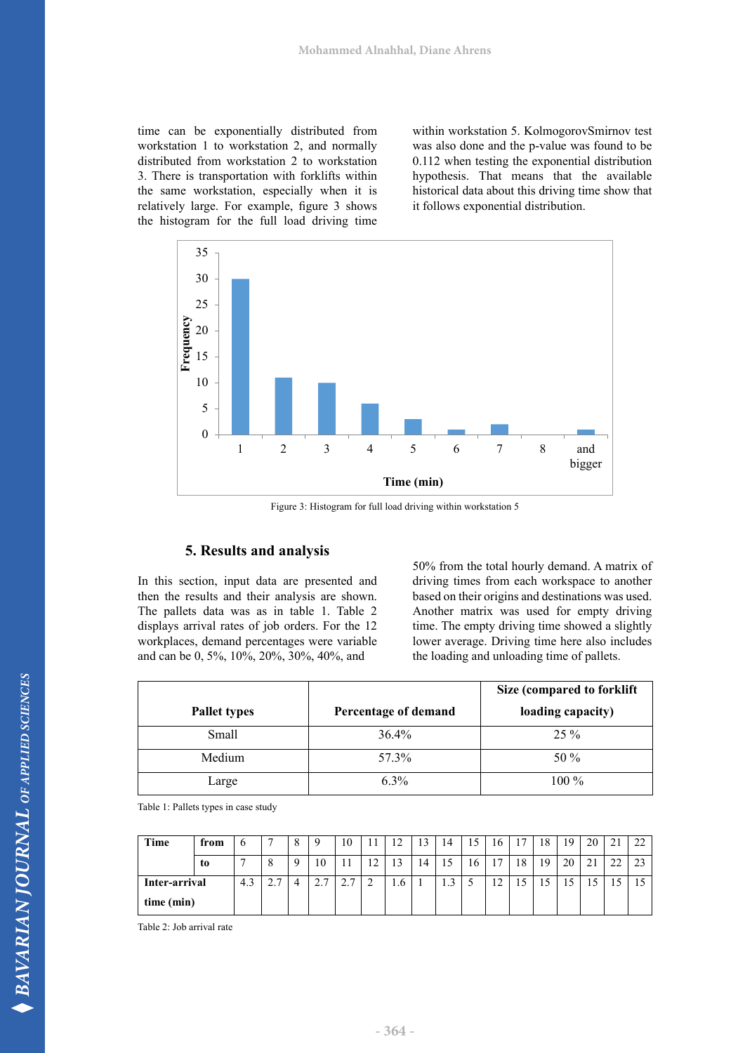time can be exponentially distributed from workstation 1 to workstation 2, and normally distributed from workstation 2 to workstation 3. There is transportation with forklifts within the same workstation, especially when it is relatively large. For example, figure 3 shows the histogram for the full load driving time

within workstation 5. KolmogorovSmirnov test was also done and the p-value was found to be 0.112 when testing the exponential distribution hypothesis. That means that the available historical data about this driving time show that it follows exponential distribution.



Figure 3: Histogram for full load driving within workstation 5

#### **5. Results and analysis**

In this section, input data are presented and then the results and their analysis are shown. The pallets data was as in table 1. Table 2 displays arrival rates of job orders. For the 12 workplaces, demand percentages were variable and can be 0, 5%, 10%, 20%, 30%, 40%, and

50% from the total hourly demand. A matrix of driving times from each workspace to another based on their origins and destinations was used. Another matrix was used for empty driving time. The empty driving time showed a slightly lower average. Driving time here also includes the loading and unloading time of pallets.

|                     |                      | Size (compared to forklift |
|---------------------|----------------------|----------------------------|
| <b>Pallet types</b> | Percentage of demand | loading capacity)          |
| Small               | $36.4\%$             | $25\%$                     |
| Medium              | 57.3%                | 50 %                       |
| Large               | $6.3\%$              | 100 %                      |

Table 1: Pallets types in case study

| Time          | from |     |                          |          | Q                       | 10                   | 11 | $\overline{1}$ | 13 | 14   |    | 16          | 17 | 18 | 19 | 20 | ∠⊥ | $\mathcal{L}$<br>∸ |
|---------------|------|-----|--------------------------|----------|-------------------------|----------------------|----|----------------|----|------|----|-------------|----|----|----|----|----|--------------------|
|               | t0   |     | $\mathbf{\Omega}$        | $\Omega$ | 10                      | 11                   | 12 | 13             | 14 | 15   | 16 | די          | 18 | 19 | 20 | 21 |    | $\mathcal{L}$      |
| Inter-arrival |      | د.4 | $\mathbf{r}$<br><u>.</u> | 4        | $\overline{ }$<br>، ، ۷ | $\sim$ $\sim$<br>ن ک | ∸  | 1.6            |    | ر. 1 |    | $\sim$<br>∸ |    |    |    | ιJ |    |                    |
| time (min)    |      |     |                          |          |                         |                      |    |                |    |      |    |             |    |    |    |    |    |                    |

Table 2: Job arrival rate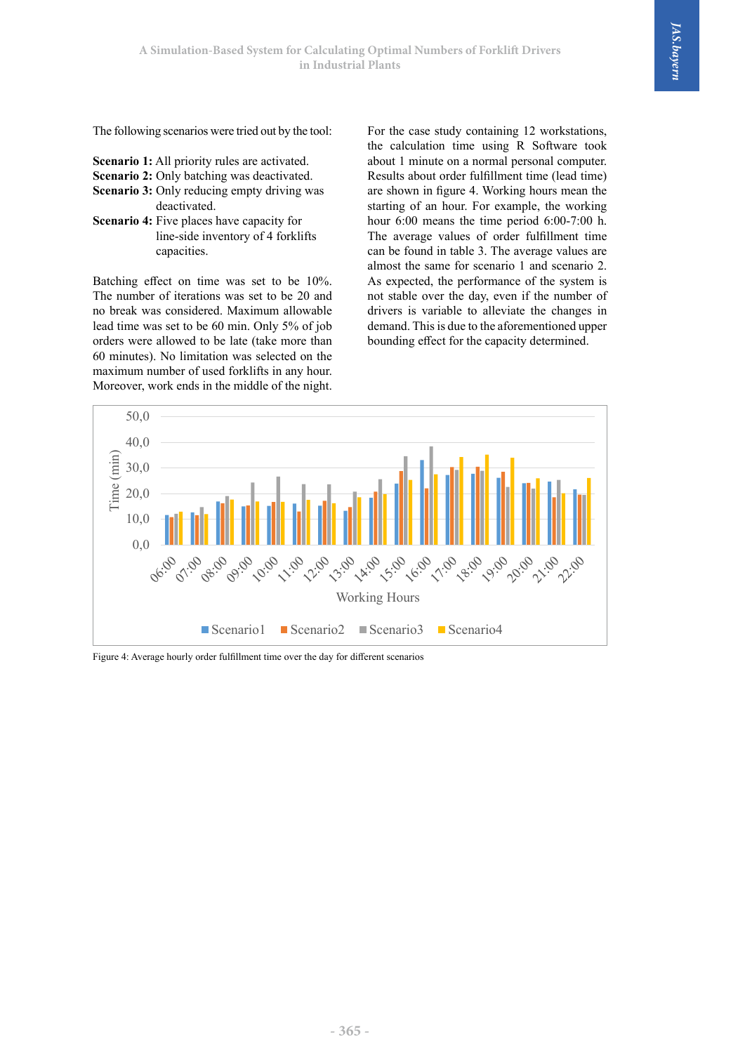The following scenarios were tried out by the tool:

- **Scenario 1:** All priority rules are activated.
- **Scenario 2:** Only batching was deactivated.
- **Scenario 3:** Only reducing empty driving was
- deactivated. **Scenario 4:** Five places have capacity for line-side inventory of 4 forklifts capacities.

Batching effect on time was set to be 10%. The number of iterations was set to be 20 and no break was considered. Maximum allowable lead time was set to be 60 min. Only 5% of job orders were allowed to be late (take more than 60 minutes). No limitation was selected on the maximum number of used forklifts in any hour. Moreover, work ends in the middle of the night. For the case study containing 12 workstations, the calculation time using R Software took about 1 minute on a normal personal computer. Results about order fulfillment time (lead time) are shown in figure 4. Working hours mean the starting of an hour. For example, the working hour 6:00 means the time period 6:00-7:00 h. The average values of order fulfillment time can be found in table 3. The average values are almost the same for scenario 1 and scenario 2. As expected, the performance of the system is not stable over the day, even if the number of drivers is variable to alleviate the changes in demand. This is due to the aforementioned upper bounding effect for the capacity determined.



Figure 4: Average hourly order fulfillment time over the day for different scenarios Figure 4: Average hourly order fulfillment time over the day for different scenarios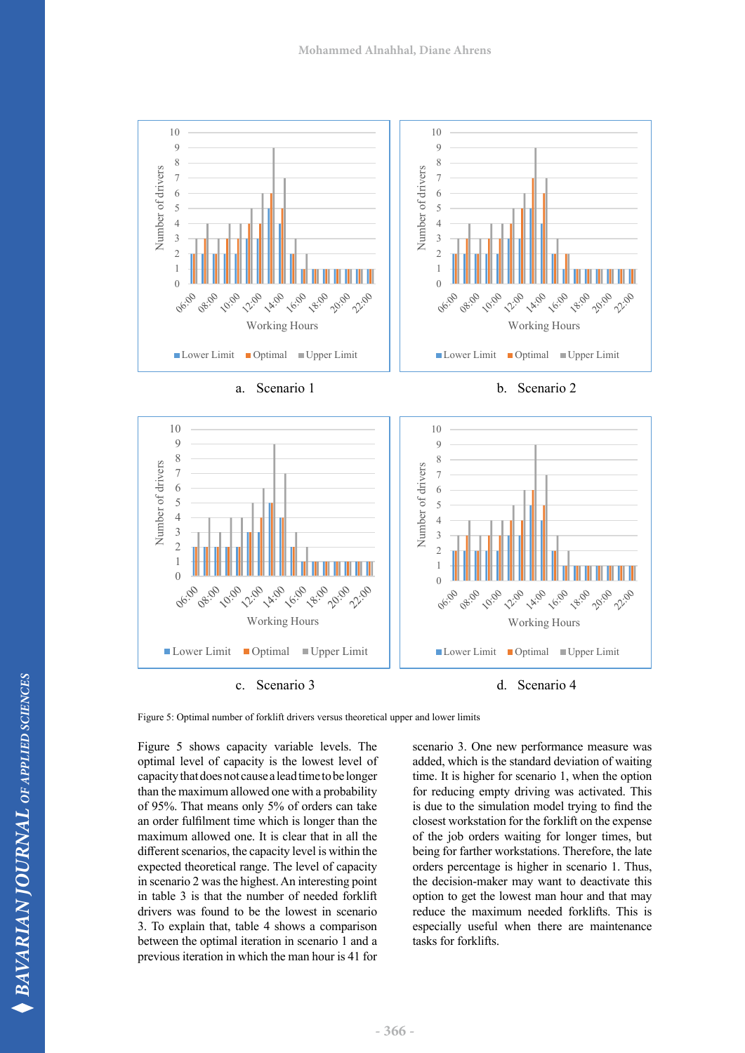



a. Scenario 1 b. Scenario 2





Figure 5: Optimal number of forklift drivers versus theoretical upper and lower limits

optimal level of capacity is the lowest level of added, which is the standard deviation c Figure 5 shows capacity variable levels. The capacity that does not cause a lead time to be longer than the maximum allowed one with a probability of 95%. That means only 5% of orders can take an order fulfilment time which is longer than the maximum allowed one. It is clear that in all the different scenarios, the capacity level is within the expected theoretical range. The level of capacity in scenario 2 was the highest. An interesting point in table 3 is that the number of needed forklift drivers was found to be the lowest in scenario 3. To explain that, table 4 shows a comparison between the optimal iteration in scenario 1 and a previous iteration in which the man hour is 41 for

scenario 3. One new performance measure was added, which is the standard deviation of waiting time. It is higher for scenario 1, when the option for reducing empty driving was activated. This is due to the simulation model trying to find the closest workstation for the forklift on the expense of the job orders waiting for longer times, but being for farther workstations. Therefore, the late orders percentage is higher in scenario 1. Thus, the decision-maker may want to deactivate this option to get the lowest man hour and that may reduce the maximum needed forklifts. This is especially useful when there are maintenance tasks for forklifts.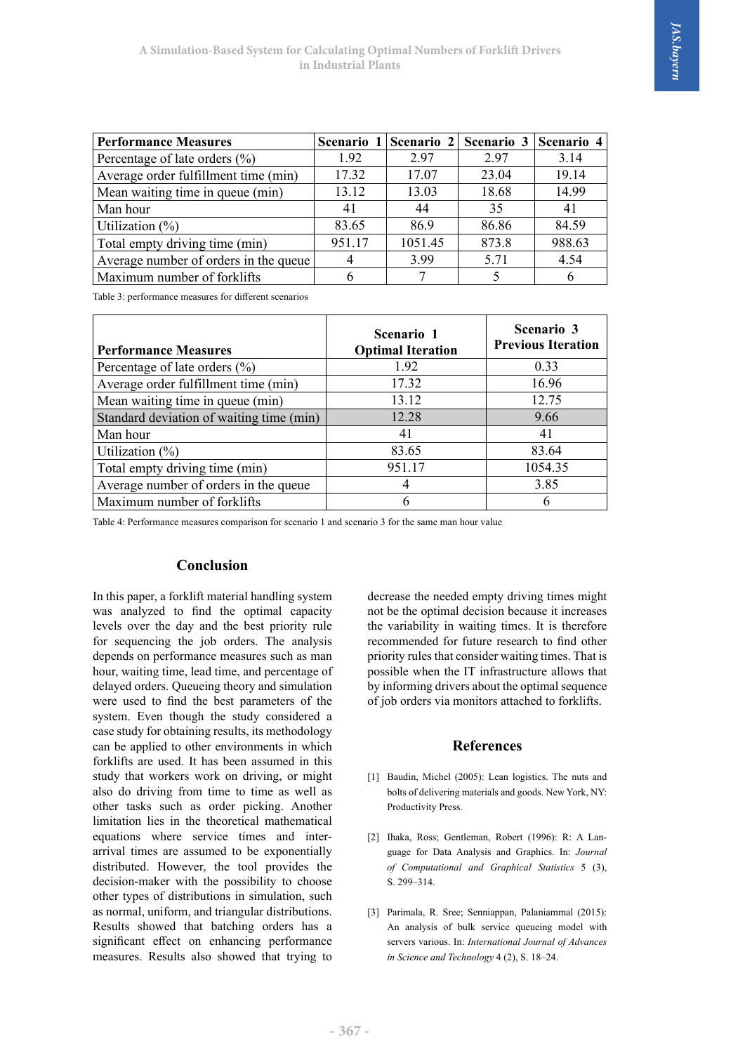| <b>Performance Measures</b>           |        | Scenario 1   Scenario 2 | Scenario 3 | Scenario 4 |
|---------------------------------------|--------|-------------------------|------------|------------|
| Percentage of late orders $(\% )$     | 1.92   | 2.97                    | 2.97       | 3.14       |
| Average order fulfillment time (min)  | 17.32  | 17.07                   | 23.04      | 19.14      |
| Mean waiting time in queue (min)      | 13.12  | 13.03                   | 18.68      | 14.99      |
| Man hour                              | 41     | 44                      | 35         | 41         |
| Utilization $(\% )$                   | 83.65  | 86.9                    | 86.86      | 84.59      |
| Total empty driving time (min)        | 951.17 | 1051.45                 | 873.8      | 988.63     |
| Average number of orders in the queue |        | 3.99                    | 5.71       | 4.54       |
| Maximum number of forklifts           |        |                         |            |            |

Table 3: performance measures for different scenarios

| <b>Performance Measures</b>              | Scenario 1<br><b>Optimal Iteration</b> | Scenario 3<br><b>Previous Iteration</b> |
|------------------------------------------|----------------------------------------|-----------------------------------------|
| Percentage of late orders $(\% )$        | 1.92                                   | 0.33                                    |
| Average order fulfillment time (min)     | 17.32                                  | 16.96                                   |
| Mean waiting time in queue (min)         | 13.12                                  | 12.75                                   |
| Standard deviation of waiting time (min) | 12.28                                  | 9.66                                    |
| Man hour                                 | 41                                     | 41                                      |
| Utilization $(\%)$                       | 83.65                                  | 83.64                                   |
| Total empty driving time (min)           | 951.17                                 | 1054.35                                 |
| Average number of orders in the queue    |                                        | 3.85                                    |
| Maximum number of forklifts              |                                        | 6                                       |

Table 4: Performance measures comparison for scenario 1 and scenario 3 for the same man Table 4: Performance measures comparison for scenario 1 and scenario 3 for the same man hour value

# **Conclusion**

In this paper, a forklift material handling system was analyzed to find the optimal capacity levels over the day and the best priority rule for sequencing the job orders. The analysis depends on performance measures such as man hour, waiting time, lead time, and percentage of delayed orders. Queueing theory and simulation were used to find the best parameters of the system. Even though the study considered a case study for obtaining results, its methodology can be applied to other environments in which forklifts are used. It has been assumed in this study that workers work on driving, or might also do driving from time to time as well as other tasks such as order picking. Another limitation lies in the theoretical mathematical equations where service times and interarrival times are assumed to be exponentially distributed. However, the tool provides the decision-maker with the possibility to choose other types of distributions in simulation, such as normal, uniform, and triangular distributions. Results showed that batching orders has a significant effect on enhancing performance measures. Results also showed that trying to

decrease the needed empty driving times might not be the optimal decision because it increases the variability in waiting times. It is therefore recommended for future research to find other priority rules that consider waiting times. That is possible when the IT infrastructure allows that by informing drivers about the optimal sequence of job orders via monitors attached to forklifts.

# **References**

- [1] Baudin, Michel (2005): Lean logistics. The nuts and bolts of delivering materials and goods. New York, NY: Productivity Press.
- [2] Ihaka, Ross; Gentleman, Robert (1996): R: A Language for Data Analysis and Graphics. In: *Journal of Computational and Graphical Statistics* 5 (3), S. 299–314.
- [3] Parimala, R. Sree; Senniappan, Palaniammal (2015): An analysis of bulk service queueing model with servers various. In: *International Journal of Advances in Science and Technology* 4 (2), S. 18–24.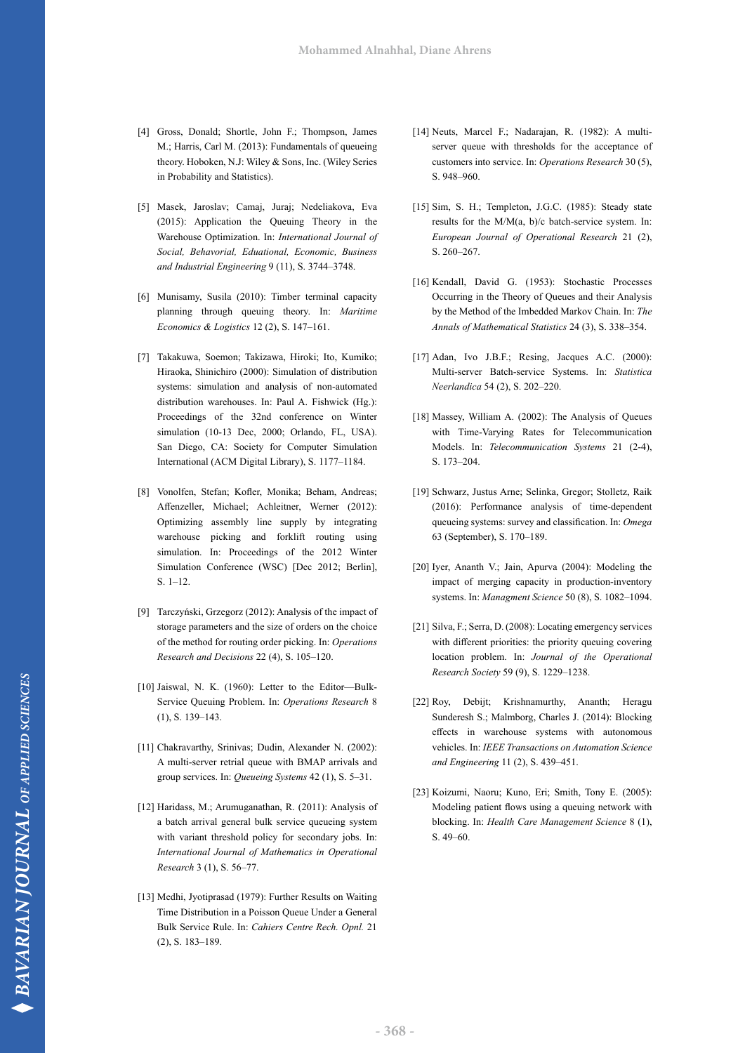- [4] Gross, Donald; Shortle, John F.; Thompson, James M.; Harris, Carl M. (2013): Fundamentals of queueing theory. Hoboken, N.J: Wiley & Sons, Inc. (Wiley Series in Probability and Statistics).
- [5] Masek, Jaroslav; Camaj, Juraj; Nedeliakova, Eva (2015): Application the Queuing Theory in the Warehouse Optimization. In: *International Journal of Social, Behavorial, Eduational, Economic, Business and Industrial Engineering* 9 (11), S. 3744–3748.
- [6] Munisamy, Susila (2010): Timber terminal capacity planning through queuing theory. In: *Maritime Economics & Logistics* 12 (2), S. 147–161.
- [7] Takakuwa, Soemon; Takizawa, Hiroki; Ito, Kumiko; Hiraoka, Shinichiro (2000): Simulation of distribution systems: simulation and analysis of non-automated distribution warehouses. In: Paul A. Fishwick (Hg.): Proceedings of the 32nd conference on Winter simulation (10-13 Dec, 2000; Orlando, FL, USA). San Diego, CA: Society for Computer Simulation International (ACM Digital Library), S. 1177–1184.
- [8] Vonolfen, Stefan; Kofler, Monika; Beham, Andreas; Affenzeller, Michael; Achleitner, Werner (2012): Optimizing assembly line supply by integrating warehouse picking and forklift routing using simulation. In: Proceedings of the 2012 Winter Simulation Conference (WSC) [Dec 2012; Berlin], S. 1–12.
- [9] Tarczyński, Grzegorz (2012): Analysis of the impact of storage parameters and the size of orders on the choice of the method for routing order picking. In: *Operations Research and Decisions* 22 (4), S. 105–120.
- [10] Jaiswal, N. K. (1960): Letter to the Editor—Bulk-Service Queuing Problem. In: *Operations Research* 8 (1), S. 139–143.
- [11] Chakravarthy, Srinivas; Dudin, Alexander N. (2002): A multi-server retrial queue with BMAP arrivals and group services. In: *Queueing Systems* 42 (1), S. 5–31.
- [12] Haridass, M.; Arumuganathan, R. (2011): Analysis of a batch arrival general bulk service queueing system with variant threshold policy for secondary jobs. In: *International Journal of Mathematics in Operational Research* 3 (1), S. 56–77.
- [13] Medhi, Jyotiprasad (1979): Further Results on Waiting Time Distribution in a Poisson Queue Under a General Bulk Service Rule. In: *Cahiers Centre Rech. Opnl.* 21 (2), S. 183–189.
- [14] Neuts, Marcel F.; Nadarajan, R. (1982): A multiserver queue with thresholds for the acceptance of customers into service. In: *Operations Research* 30 (5), S. 948–960.
- [15] Sim, S. H.; Templeton, J.G.C. (1985): Steady state results for the M/M(a, b)/c batch-service system. In: *European Journal of Operational Research* 21 (2), S. 260–267.
- [16] Kendall, David G. (1953): Stochastic Processes Occurring in the Theory of Queues and their Analysis by the Method of the Imbedded Markov Chain. In: *The Annals of Mathematical Statistics* 24 (3), S. 338–354.
- [17] Adan, Ivo J.B.F.; Resing, Jacques A.C. (2000): Multi‐server Batch‐service Systems. In: *Statistica Neerlandica* 54 (2), S. 202–220.
- [18] Massey, William A. (2002): The Analysis of Queues with Time-Varying Rates for Telecommunication Models. In: *Telecommunication Systems* 21 (2-4), S. 173–204.
- [19] Schwarz, Justus Arne; Selinka, Gregor; Stolletz, Raik (2016): Performance analysis of time-dependent queueing systems: survey and classification. In: *Omega*  63 (September), S. 170–189.
- [20] Iyer, Ananth V.; Jain, Apurva (2004): Modeling the impact of merging capacity in production-inventory systems. In: *Managment Science* 50 (8), S. 1082–1094.
- [21] Silva, F.; Serra, D. (2008): Locating emergency services with different priorities: the priority queuing covering location problem. In: *Journal of the Operational Research Society* 59 (9), S. 1229–1238.
- [22] Roy, Debijt; Krishnamurthy, Ananth; Heragu Sunderesh S.; Malmborg, Charles J. (2014): Blocking effects in warehouse systems with autonomous vehicles. In: *IEEE Transactions on Automation Science and Engineering* 11 (2), S. 439–451.
- [23] Koizumi, Naoru; Kuno, Eri; Smith, Tony E. (2005): Modeling patient flows using a queuing network with blocking. In: *Health Care Management Science* 8 (1), S. 49–60.